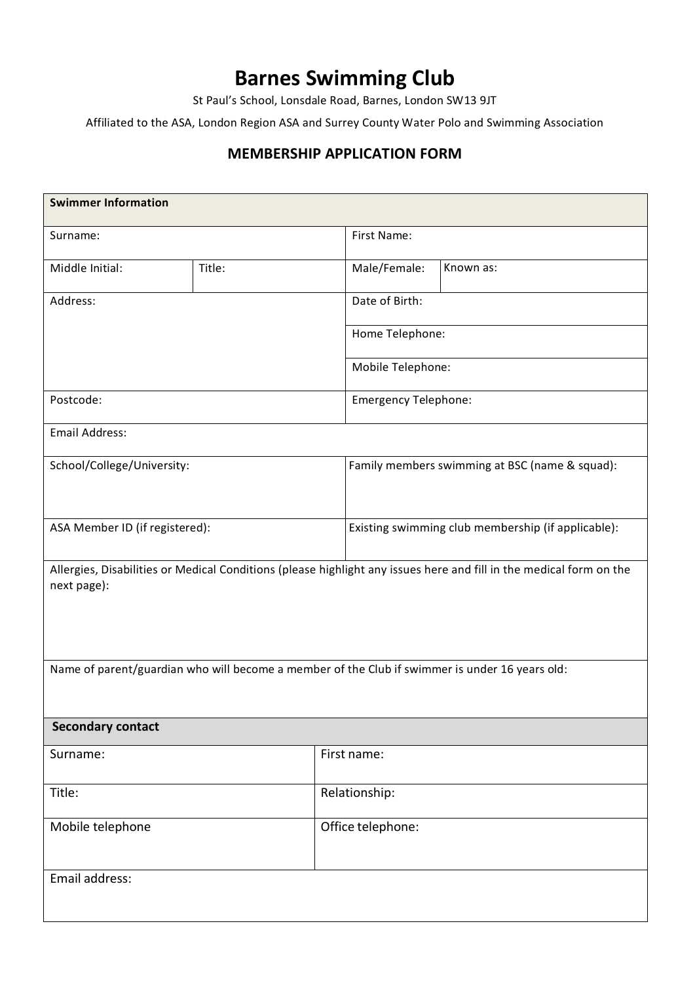# **Barnes Swimming Club**

St Paul's School, Lonsdale Road, Barnes, London SW13 9JT

Affiliated to the ASA, London Region ASA and Surrey County Water Polo and Swimming Association

# **MEMBERSHIP APPLICATION FORM**

| <b>Swimmer Information</b>                                                                                                         |        |                   |                                                    |  |  |
|------------------------------------------------------------------------------------------------------------------------------------|--------|-------------------|----------------------------------------------------|--|--|
| Surname:                                                                                                                           |        | First Name:       |                                                    |  |  |
| Middle Initial:                                                                                                                    | Title: | Male/Female:      | Known as:                                          |  |  |
| Address:                                                                                                                           |        | Date of Birth:    |                                                    |  |  |
|                                                                                                                                    |        |                   | Home Telephone:                                    |  |  |
|                                                                                                                                    |        |                   | Mobile Telephone:                                  |  |  |
| Postcode:                                                                                                                          |        |                   | <b>Emergency Telephone:</b>                        |  |  |
| <b>Email Address:</b>                                                                                                              |        |                   |                                                    |  |  |
| School/College/University:                                                                                                         |        |                   | Family members swimming at BSC (name & squad):     |  |  |
|                                                                                                                                    |        |                   |                                                    |  |  |
| ASA Member ID (if registered):                                                                                                     |        |                   | Existing swimming club membership (if applicable): |  |  |
| Allergies, Disabilities or Medical Conditions (please highlight any issues here and fill in the medical form on the<br>next page): |        |                   |                                                    |  |  |
| Name of parent/guardian who will become a member of the Club if swimmer is under 16 years old:                                     |        |                   |                                                    |  |  |
| <b>Secondary contact</b>                                                                                                           |        |                   |                                                    |  |  |
| Surname:                                                                                                                           |        | First name:       |                                                    |  |  |
| Title:                                                                                                                             |        | Relationship:     |                                                    |  |  |
| Mobile telephone                                                                                                                   |        | Office telephone: |                                                    |  |  |
| Email address:                                                                                                                     |        |                   |                                                    |  |  |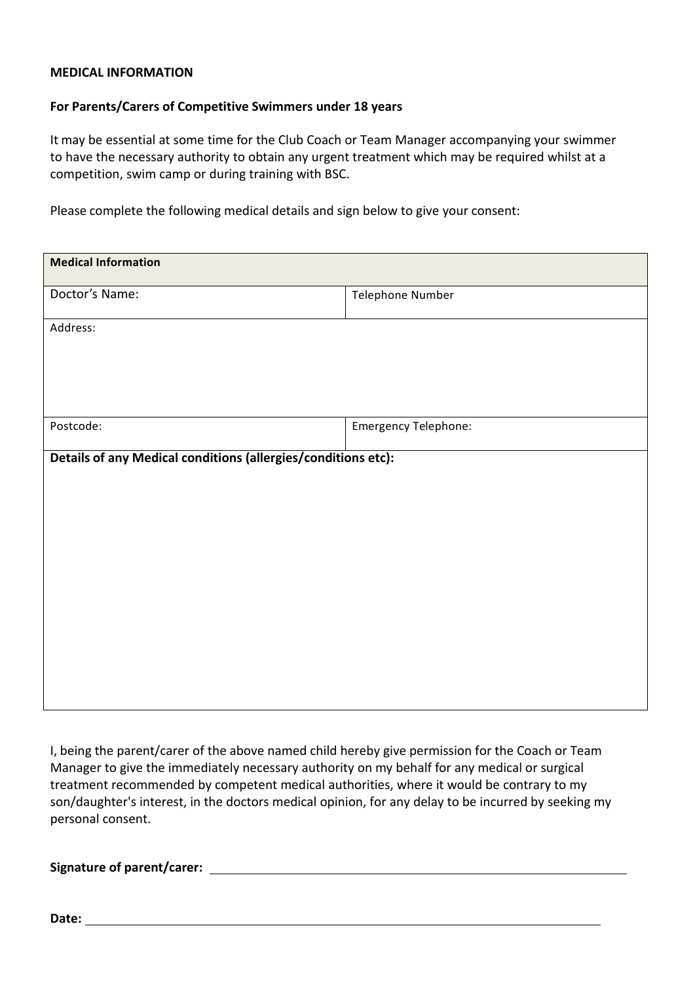#### **MEDICAL INFORMATION**

#### **For Parents/Carers of Competitive Swimmers under 18 years**

It may be essential at some time for the Club Coach or Team Manager accompanying your swimmer to have the necessary authority to obtain any urgent treatment which may be required whilst at a competition, swim camp or during training with BSC.

Please complete the following medical details and sign below to give your consent:

| <b>Medical Information</b>                                    |                      |  |  |  |
|---------------------------------------------------------------|----------------------|--|--|--|
| Doctor's Name:                                                | Telephone Number     |  |  |  |
| Address:                                                      |                      |  |  |  |
|                                                               |                      |  |  |  |
|                                                               |                      |  |  |  |
| Postcode:                                                     | Emergency Telephone: |  |  |  |
| Details of any Medical conditions (allergies/conditions etc): |                      |  |  |  |
|                                                               |                      |  |  |  |
|                                                               |                      |  |  |  |
|                                                               |                      |  |  |  |
|                                                               |                      |  |  |  |
|                                                               |                      |  |  |  |
|                                                               |                      |  |  |  |
|                                                               |                      |  |  |  |
|                                                               |                      |  |  |  |

I, being the parent/carer of the above named child hereby give permission for the Coach or Team Manager to give the immediately necessary authority on my behalf for any medical or surgical treatment recommended by competent medical authorities, where it would be contrary to my son/daughter's interest, in the doctors medical opinion, for any delay to be incurred by seeking my personal consent.

**Signature of parent/carer:'**

**Date:**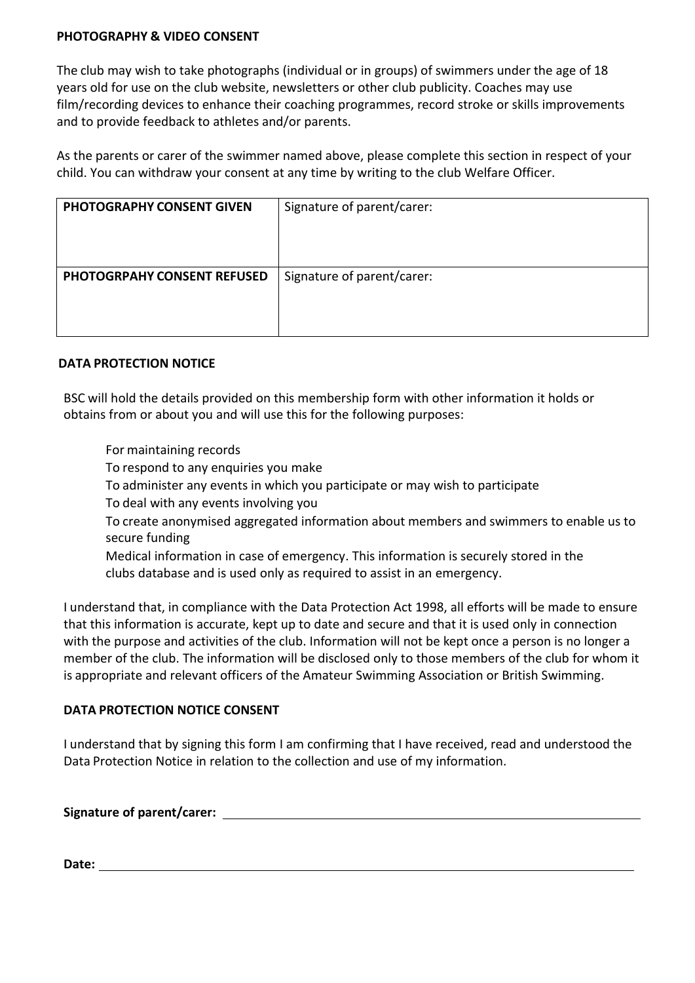#### **PHOTOGRAPHY & VIDEO CONSENT**

The club may wish to take photographs (individual or in groups) of swimmers under the age of 18 years old for use on the club website, newsletters or other club publicity. Coaches may use film/recording devices to enhance their coaching programmes, record stroke or skills improvements and to provide feedback to athletes and/or parents.

As the parents or carer of the swimmer named above, please complete this section in respect of your child. You can withdraw your consent at any time by writing to the club Welfare Officer.

| <b>PHOTOGRAPHY CONSENT GIVEN</b>   | Signature of parent/carer: |
|------------------------------------|----------------------------|
| <b>PHOTOGRPAHY CONSENT REFUSED</b> | Signature of parent/carer: |

## **DATA PROTECTION NOTICE**

BSC will hold the details provided on this membership form with other information it holds or obtains from or about you and will use this for the following purposes:

For maintaining records

To respond to any enquiries you make

To administer any events in which you participate or may wish to participate

To deal with any events involving you

To create anonymised aggregated information about members and swimmers to enable us to secure funding

Medical information in case of emergency. This information is securely stored in the clubs database and is used only as required to assist in an emergency.

I understand that, in compliance with the Data Protection Act 1998, all efforts will be made to ensure# that this information is accurate, kept up to date and secure and that it is used only in connection with the purpose and activities of the club. Information will not be kept once a person is no longer a member of the club. The information will be disclosed only to those members of the club for whom it is appropriate and relevant officers of the Amateur Swimming Association or British Swimming.

## **DATA PROTECTION NOTICE CONSENT**

I understand that by signing this form I am confirming that I have received, read and understood the Data Protection Notice in relation to the collection and use of my information.

**Signature of parent/carer:'**

**Date:**